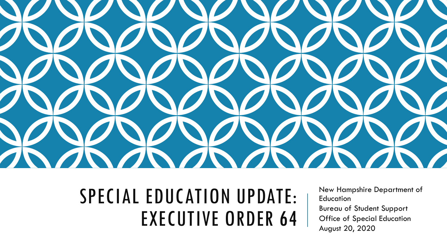

# SPECIAL EDUCATION UPDATE: EXECUTIVE ORDER 64

New Hampshire Department of **Education** Bureau of Student Support Office of Special Education August 20, 2020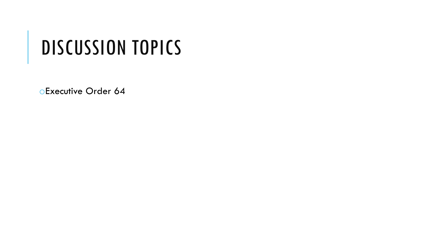# DISCUSSION TOPICS

oExecutive Order 64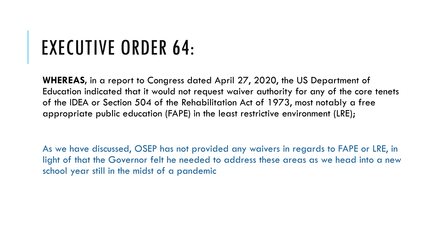# EXECUTIVE ORDER 64:

**WHEREAS,** in a report to Congress dated April 27, 2020, the US Department of Education indicated that it would not request waiver authority for any of the core tenets of the IDEA or Section 504 of the Rehabilitation Act of 1973, most notably a free appropriate public education (FAPE) in the least restrictive environment (LRE);

As we have discussed, OSEP has not provided any waivers in regards to FAPE or LRE, in light of that the Governor felt he needed to address these areas as we head into a new school year still in the midst of a pandemic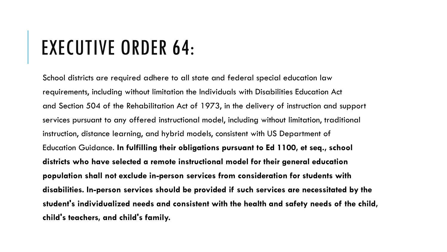## EXECUTIVE ORDER 64:

School districts are required adhere to all state and federal special education law requirements, including without limitation the Individuals with Disabilities Education Act and Section 504 of the Rehabilitation Act of 1973, in the delivery of instruction and support services pursuant to any offered instructional model, including without limitation, traditional instruction, distance learning, and hybrid models, consistent with US Department of Education Guidance. **In fulfilling their obligations pursuant to Ed 1100, et seq., school districts who have selected a remote instructional model for their general education population shall not exclude in-person services from consideration for students with disabilities. In-person services should be provided if such services are necessitated by the student's individualized needs and consistent with the health and safety needs of the child, child's teachers, and child's family.**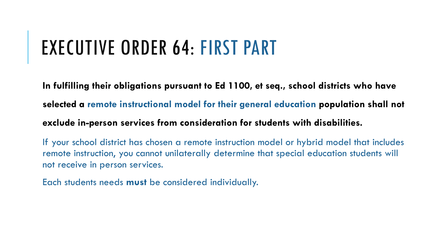### EXECUTIVE ORDER 64: FIRST PART

**In fulfilling their obligations pursuant to Ed 1100, et seq., school districts who have selected a remote instructional model for their general education population shall not exclude in-person services from consideration for students with disabilities.** 

If your school district has chosen a remote instruction model or hybrid model that includes remote instruction, you cannot unilaterally determine that special education students will not receive in person services.

Each students needs **must** be considered individually.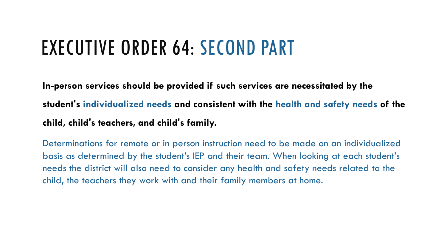## EXECUTIVE ORDER 64: SECOND PART

**In-person services should be provided if such services are necessitated by the student's individualized needs and consistent with the health and safety needs of the child, child's teachers, and child's family.**

Determinations for remote or in person instruction need to be made on an individualized basis as determined by the student's IEP and their team. When looking at each student's needs the district will also need to consider any health and safety needs related to the child, the teachers they work with and their family members at home.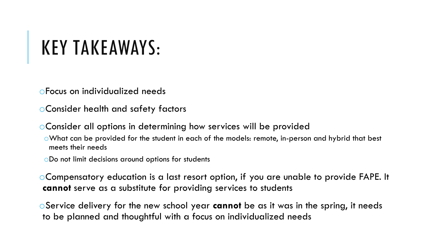# KEY TAKEAWAYS:

oFocus on individualized needs

oConsider health and safety factors

oConsider all options in determining how services will be provided

oWhat can be provided for the student in each of the models: remote, in-person and hybrid that best meets their needs

oDo not limit decisions around options for students

oCompensatory education is a last resort option, if you are unable to provide FAPE. It **cannot** serve as a substitute for providing services to students

oService delivery for the new school year **cannot** be as it was in the spring, it needs to be planned and thoughtful with a focus on individualized needs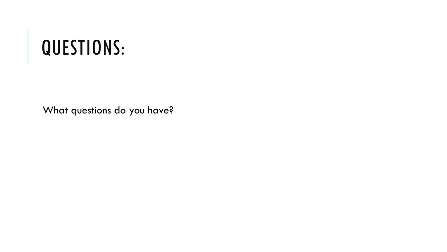## QUESTIONS:

What questions do you have?